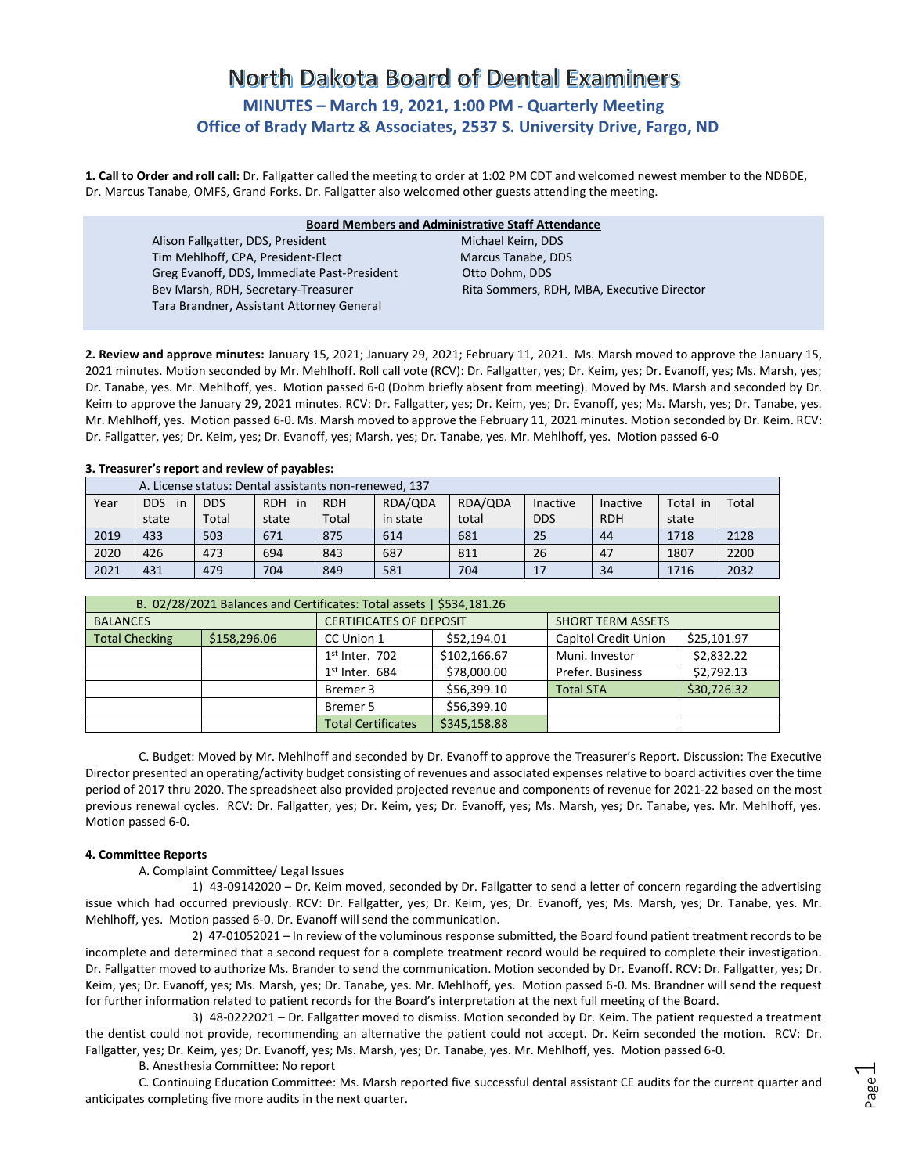# **North Dakota Board of Dental Examiners MINUTES – March 19, 2021, 1:00 PM - Quarterly Meeting Office of Brady Martz & Associates, 2537 S. University Drive, Fargo, ND**

**1. Call to Order and roll call:** Dr. Fallgatter called the meeting to order at 1:02 PM CDT and welcomed newest member to the NDBDE, Dr. Marcus Tanabe, OMFS, Grand Forks. Dr. Fallgatter also welcomed other guests attending the meeting.

| <b>Board Members and Administrative Staff Attendance</b> |                                            |  |  |  |  |
|----------------------------------------------------------|--------------------------------------------|--|--|--|--|
| Alison Fallgatter, DDS, President                        | Michael Keim, DDS                          |  |  |  |  |
| Tim Mehlhoff, CPA, President-Elect                       | Marcus Tanabe, DDS                         |  |  |  |  |
| Greg Evanoff, DDS, Immediate Past-President              | Otto Dohm, DDS                             |  |  |  |  |
| Bev Marsh, RDH, Secretary-Treasurer                      | Rita Sommers, RDH, MBA, Executive Director |  |  |  |  |
| Tara Brandner, Assistant Attorney General                |                                            |  |  |  |  |

**2. Review and approve minutes:** January 15, 2021; January 29, 2021; February 11, 2021. Ms. Marsh moved to approve the January 15, 2021 minutes. Motion seconded by Mr. Mehlhoff. Roll call vote (RCV): Dr. Fallgatter, yes; Dr. Keim, yes; Dr. Evanoff, yes; Ms. Marsh, yes; Dr. Tanabe, yes. Mr. Mehlhoff, yes. Motion passed 6-0 (Dohm briefly absent from meeting). Moved by Ms. Marsh and seconded by Dr. Keim to approve the January 29, 2021 minutes. RCV: Dr. Fallgatter, yes; Dr. Keim, yes; Dr. Evanoff, yes; Ms. Marsh, yes; Dr. Tanabe, yes. Mr. Mehlhoff, yes. Motion passed 6-0. Ms. Marsh moved to approve the February 11, 2021 minutes. Motion seconded by Dr. Keim. RCV: Dr. Fallgatter, yes; Dr. Keim, yes; Dr. Evanoff, yes; Marsh, yes; Dr. Tanabe, yes. Mr. Mehlhoff, yes. Motion passed 6-0

|      |             | A. License status: Dental assistants non-renewed, 137 |                  |            |          |         |                 |                 |          |       |
|------|-------------|-------------------------------------------------------|------------------|------------|----------|---------|-----------------|-----------------|----------|-------|
| Year | DDS.<br>in. | <b>DDS</b>                                            | in<br><b>RDH</b> | <b>RDH</b> | RDA/QDA  | RDA/QDA | <b>Inactive</b> | <b>Inactive</b> | Total in | Total |
|      | state       | Total                                                 | state            | Total      | in state | total   | <b>DDS</b>      | <b>RDH</b>      | state    |       |
| 2019 | 433         | 503                                                   | 671              | 875        | 614      | 681     | 25              | 44              | 1718     | 2128  |
| 2020 | 426         | 473                                                   | 694              | 843        | 687      | 811     | 26              | 47              | 1807     | 2200  |
| 2021 | 431         | 479                                                   | 704              | 849        | 581      | 704     | 17              | 34              | 1716     | 2032  |

## **3. Treasurer's report and review of payables:**

| B. 02/28/2021 Balances and Certificates: Total assets   \$534,181.26 |              |                                |              |                          |             |  |  |
|----------------------------------------------------------------------|--------------|--------------------------------|--------------|--------------------------|-------------|--|--|
| <b>BALANCES</b>                                                      |              | <b>CERTIFICATES OF DEPOSIT</b> |              | <b>SHORT TERM ASSETS</b> |             |  |  |
| <b>Total Checking</b>                                                | \$158,296.06 | CC Union 1                     | \$52,194.01  | Capitol Credit Union     | \$25,101.97 |  |  |
|                                                                      |              | $1st$ Inter. 702               | \$102,166.67 | Muni. Investor           | \$2,832.22  |  |  |
|                                                                      |              | $1st$ Inter. 684               | \$78,000.00  | Prefer. Business         | \$2,792.13  |  |  |
|                                                                      |              | Bremer 3                       | \$56,399.10  | <b>Total STA</b>         | \$30,726.32 |  |  |
|                                                                      |              | Bremer 5                       | \$56,399.10  |                          |             |  |  |
|                                                                      |              | <b>Total Certificates</b>      | \$345,158.88 |                          |             |  |  |

C. Budget: Moved by Mr. Mehlhoff and seconded by Dr. Evanoff to approve the Treasurer's Report. Discussion: The Executive Director presented an operating/activity budget consisting of revenues and associated expenses relative to board activities over the time period of 2017 thru 2020. The spreadsheet also provided projected revenue and components of revenue for 2021-22 based on the most previous renewal cycles. RCV: Dr. Fallgatter, yes; Dr. Keim, yes; Dr. Evanoff, yes; Ms. Marsh, yes; Dr. Tanabe, yes. Mr. Mehlhoff, yes. Motion passed 6-0.

# **4. Committee Reports**

A. Complaint Committee/ Legal Issues

1) 43-09142020 – Dr. Keim moved, seconded by Dr. Fallgatter to send a letter of concern regarding the advertising issue which had occurred previously. RCV: Dr. Fallgatter, yes; Dr. Keim, yes; Dr. Evanoff, yes; Ms. Marsh, yes; Dr. Tanabe, yes. Mr. Mehlhoff, yes. Motion passed 6-0. Dr. Evanoff will send the communication.

2) 47-01052021 – In review of the voluminous response submitted, the Board found patient treatment records to be incomplete and determined that a second request for a complete treatment record would be required to complete their investigation. Dr. Fallgatter moved to authorize Ms. Brander to send the communication. Motion seconded by Dr. Evanoff. RCV: Dr. Fallgatter, yes; Dr. Keim, yes; Dr. Evanoff, yes; Ms. Marsh, yes; Dr. Tanabe, yes. Mr. Mehlhoff, yes. Motion passed 6-0. Ms. Brandner will send the request for further information related to patient records for the Board's interpretation at the next full meeting of the Board.

3) 48-0222021 – Dr. Fallgatter moved to dismiss. Motion seconded by Dr. Keim. The patient requested a treatment the dentist could not provide, recommending an alternative the patient could not accept. Dr. Keim seconded the motion. RCV: Dr. Fallgatter, yes; Dr. Keim, yes; Dr. Evanoff, yes; Ms. Marsh, yes; Dr. Tanabe, yes. Mr. Mehlhoff, yes. Motion passed 6-0.

B. Anesthesia Committee: No report

C. Continuing Education Committee: Ms. Marsh reported five successful dental assistant CE audits for the current quarter and anticipates completing five more audits in the next quarter.